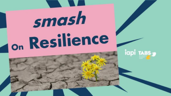# smash <sub>on</sub> Resilience

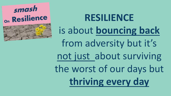

### **RESILIENCE**  is about **bouncing back**  from adversity but it's not just about surviving the worst of our days but **thriving every day**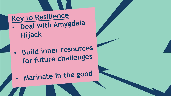Key to Resilience Deal with Amygdala Hijack

**Build inner resources**  $\bullet$ for future challenges

Marinate in the good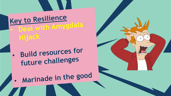#### Key to Resilience - Deal with Amygdala Hijack

**Build resources for**  $\bullet$ future challenges

### Marinade in the good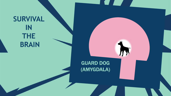## GUARD DOG (AMYGDALA) **SURVIVAL IN THE BRAIN**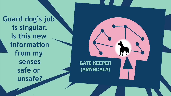**Guard dog's job is singular. Is this new information from my senses safe or unsafe?**

GATE KEEPER (AMYGDALA)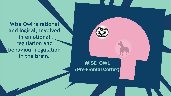**Wise Owl is rational and logical, involved in emotional regulation and behaviour regulation in the brain.**

#### WISE OWL (Pre-Frontal Cortex)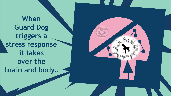**When Guard Dog triggers a stress response it takes over the brain and body…**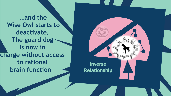**…and the Wise Owl starts to deactivate. The guard dog is now in charge without access to rational brain function** 

Inverse Relationship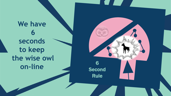We have **seconds to keep the wise owl** on-line 6

Second Rule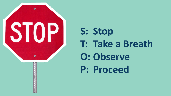

**S: Stop T: Take a Breath O: Observe P: Proceed**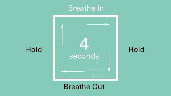#### **Breathe In**



Hold

Hold

**Breathe Out**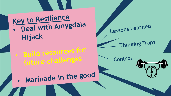#### Key to Resilience Deal with Amygdala Hijack

**.** Build resources for future challenges

Lessons Learned

**Thinking Traps** 

Control



Marinade in the good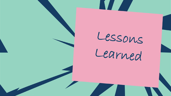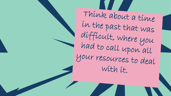Think about a time in the past that was difficult, where you had to call upon all your resources to deal with it.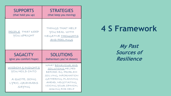| <b>SUPPORTS</b><br>(that hold you up)         | <b>STRATEGIES</b><br>(that keep you moving)                                           |
|-----------------------------------------------|---------------------------------------------------------------------------------------|
| PEOPLE THAT KEEP<br>YOU UPRIGHT               | THINGS THAT HELP<br>YOU DEAL WITH<br>NEGATIVE <u>THOUGHTS</u><br><u>AND FEELINGS</u>  |
|                                               |                                                                                       |
| <b>SAGACITY</b><br>(give you comfort/hope)    | <b>SOLUTIONS</b><br>(behaviours you've shown)                                         |
| <u>WISDOM &amp; INSIGHTS</u><br>YOU HOLD ONTO | WHAT BEHAVIOUR AND<br>SOLUTIONS HELPED<br>BEFORE: EG. PROBLEM<br>SOLVING, INFORMATION |

#### **4 S Framework**

**My Past Sources of Resilience**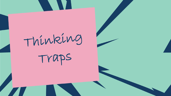Thinking

Traps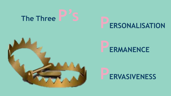







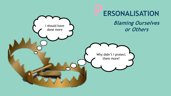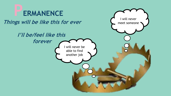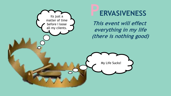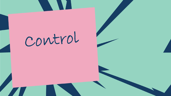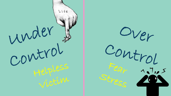

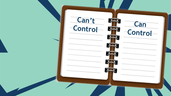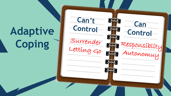### **Adaptive Coping**

**Can't** 

**Can** 

**Control**

Responsiblity

Autonomuy

**Control**

Surrender

Letting Go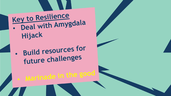### Key to Resilience · Deal with Amygdala Hijack

· Build resources for future challenges

Marinade in the good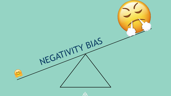

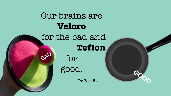

**GOOD**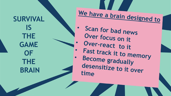**SURVIVAL IS THE GAME OF THE BRAIN**

**We have a brain designed to**

• **Scan for bad news Over focus on it Over -react to it Fast track it to memory**<br>**Become gradually desensitize to it over time**

 $\bullet$ 

 $\bullet$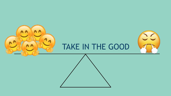

#### TAKE IN THE GOOD

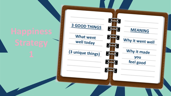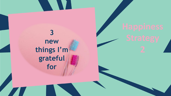**3 new things I'm grateful for**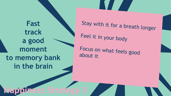**Fast track a good moment to memory bank in the brain**

Stay with it for a breath longer Feel it in your body

Focus on what feels good about it

#### **Happiness Strategy 3**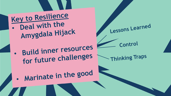Key to Resilience Deal with the Amygdala Hijack

**Build inner resources** for future challenges

**Lessons Learned** 

Control

**Thinking Traps** 

Marinate in the good  $\bullet$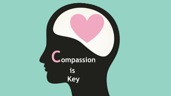